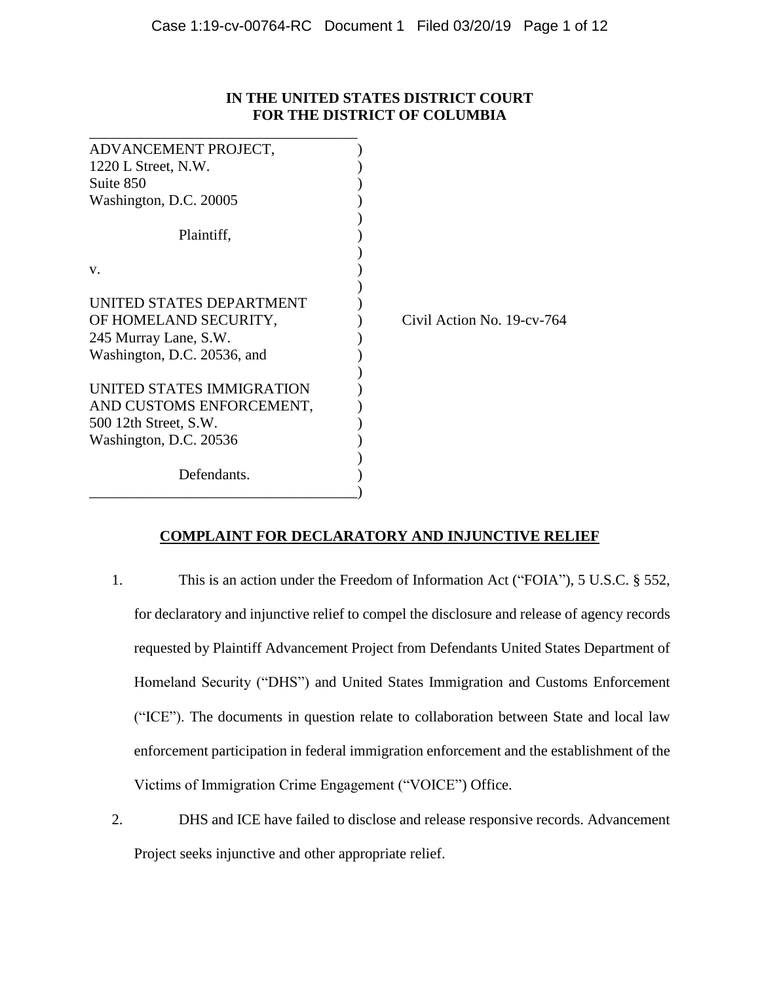| IN THE UNITED STATES DISTRICT COURT |
|-------------------------------------|
| <b>FOR THE DISTRICT OF COLUMBIA</b> |

| ADVANCEMENT PROJECT,        |                            |
|-----------------------------|----------------------------|
| $1220$ L Street, N.W.       |                            |
| Suite 850                   |                            |
| Washington, D.C. 20005      |                            |
|                             |                            |
| Plaintiff,                  |                            |
|                             |                            |
| V.                          |                            |
|                             |                            |
| UNITED STATES DEPARTMENT    |                            |
| OF HOMELAND SECURITY,       | Civil Action No. 19-cv-764 |
| 245 Murray Lane, S.W.       |                            |
| Washington, D.C. 20536, and |                            |
|                             |                            |
| UNITED STATES IMMIGRATION   |                            |
| AND CUSTOMS ENFORCEMENT,    |                            |
| 500 12th Street, S.W.       |                            |
| Washington, D.C. 20536      |                            |
|                             |                            |
| Defendants.                 |                            |
|                             |                            |

# **COMPLAINT FOR DECLARATORY AND INJUNCTIVE RELIEF**

- 1. This is an action under the Freedom of Information Act ("FOIA"), 5 U.S.C. § 552, for declaratory and injunctive relief to compel the disclosure and release of agency records requested by Plaintiff Advancement Project from Defendants United States Department of Homeland Security ("DHS") and United States Immigration and Customs Enforcement ("ICE"). The documents in question relate to collaboration between State and local law enforcement participation in federal immigration enforcement and the establishment of the Victims of Immigration Crime Engagement ("VOICE") Office.
- 2. DHS and ICE have failed to disclose and release responsive records. Advancement Project seeks injunctive and other appropriate relief.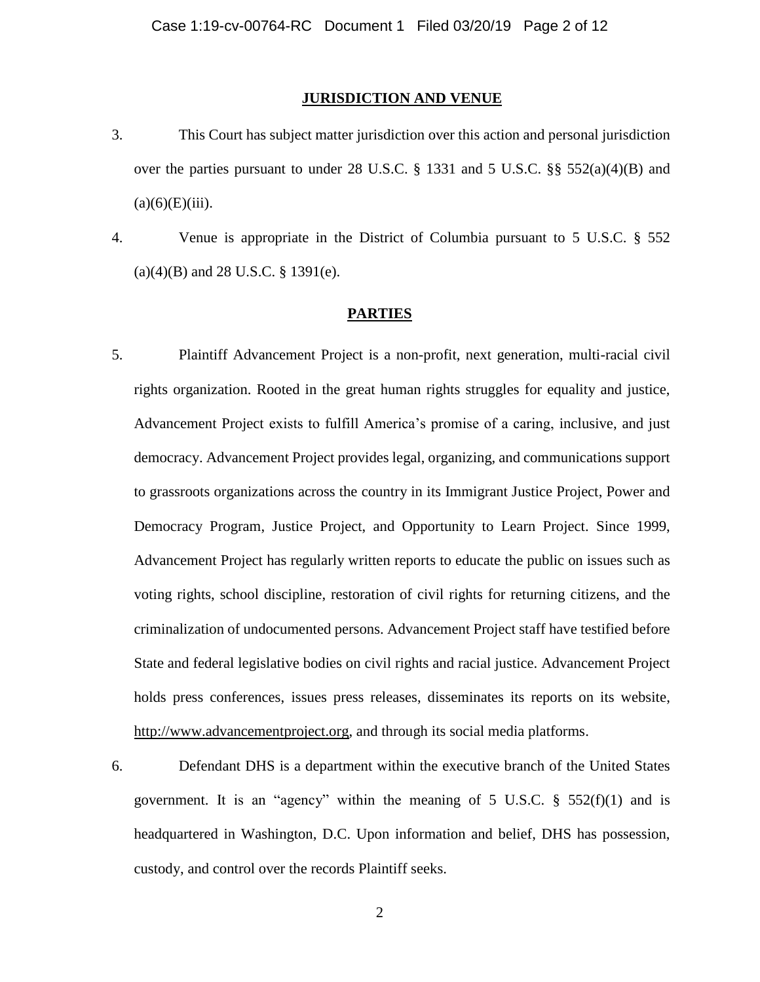#### **JURISDICTION AND VENUE**

- 3. This Court has subject matter jurisdiction over this action and personal jurisdiction over the parties pursuant to under 28 U.S.C. § 1331 and 5 U.S.C. §§ 552(a)(4)(B) and  $(a)(6)(E)(iii)$ .
- 4. Venue is appropriate in the District of Columbia pursuant to 5 U.S.C. § 552  $(a)(4)(B)$  and 28 U.S.C. § 1391(e).

#### **PARTIES**

- 5. Plaintiff Advancement Project is a non-profit, next generation, multi-racial civil rights organization. Rooted in the great human rights struggles for equality and justice, Advancement Project exists to fulfill America's promise of a caring, inclusive, and just democracy. Advancement Project provides legal, organizing, and communications support to grassroots organizations across the country in its Immigrant Justice Project, Power and Democracy Program, Justice Project, and Opportunity to Learn Project. Since 1999, Advancement Project has regularly written reports to educate the public on issues such as voting rights, school discipline, restoration of civil rights for returning citizens, and the criminalization of undocumented persons. Advancement Project staff have testified before State and federal legislative bodies on civil rights and racial justice. Advancement Project holds press conferences, issues press releases, disseminates its reports on its website, [http://www.advancementproject.org,](http://www.advancementproject.org/) and through its social media platforms.
- 6. Defendant DHS is a department within the executive branch of the United States government. It is an "agency" within the meaning of  $5 \text{ U.S.C. }$  \$  $552(f)(1)$  and is headquartered in Washington, D.C. Upon information and belief, DHS has possession, custody, and control over the records Plaintiff seeks.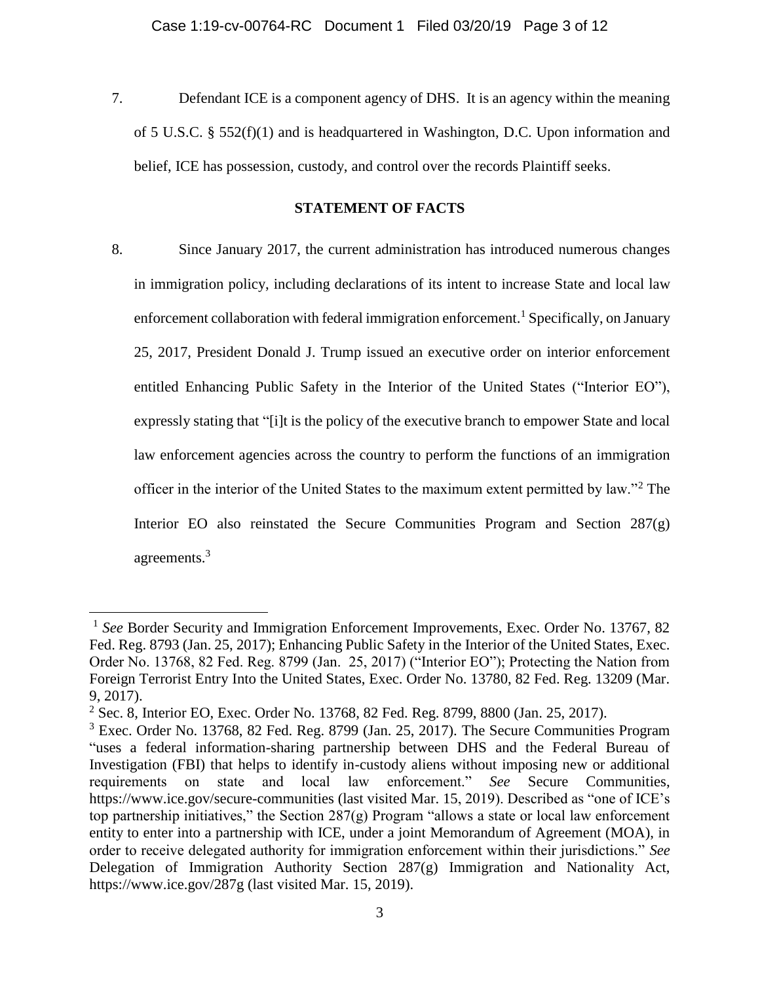7. Defendant ICE is a component agency of DHS. It is an agency within the meaning of 5 U.S.C. § 552(f)(1) and is headquartered in Washington, D.C. Upon information and belief, ICE has possession, custody, and control over the records Plaintiff seeks.

## **STATEMENT OF FACTS**

8. Since January 2017, the current administration has introduced numerous changes in immigration policy, including declarations of its intent to increase State and local law enforcement collaboration with federal immigration enforcement.<sup>1</sup> Specifically, on January 25, 2017, President Donald J. Trump issued an executive order on interior enforcement entitled Enhancing Public Safety in the Interior of the United States ("Interior EO"), expressly stating that "[i]t is the policy of the executive branch to empower State and local law enforcement agencies across the country to perform the functions of an immigration officer in the interior of the United States to the maximum extent permitted by law."<sup>2</sup> The Interior EO also reinstated the Secure Communities Program and Section 287(g) agreements.<sup>3</sup>

 $\overline{\phantom{a}}$ 

<sup>&</sup>lt;sup>1</sup> See Border Security and Immigration Enforcement Improvements, Exec. Order No. 13767, 82 Fed. Reg. 8793 (Jan. 25, 2017); Enhancing Public Safety in the Interior of the United States, Exec. Order No. 13768, 82 Fed. Reg. 8799 (Jan. 25, 2017) ("Interior EO"); Protecting the Nation from Foreign Terrorist Entry Into the United States, Exec. Order No. 13780, 82 Fed. Reg. 13209 (Mar. 9, 2017).

<sup>2</sup> Sec. 8, Interior EO, Exec. Order No. 13768, 82 Fed. Reg. 8799, 8800 (Jan. 25, 2017).

<sup>&</sup>lt;sup>3</sup> Exec. Order No. 13768, 82 Fed. Reg. 8799 (Jan. 25, 2017). The Secure Communities Program "uses a federal information-sharing partnership between DHS and the Federal Bureau of Investigation (FBI) that helps to identify in-custody aliens without imposing new or additional requirements on state and local law enforcement." *See* Secure Communities, <https://www.ice.gov/secure-communities> (last visited Mar. 15, 2019). Described as "one of ICE's top partnership initiatives," the Section  $287(g)$  Program "allows a state or local law enforcement entity to enter into a partnership with ICE, under a joint Memorandum of Agreement (MOA), in order to receive delegated authority for immigration enforcement within their jurisdictions." *See* Delegation of Immigration Authority Section 287(g) Immigration and Nationality Act, <https://www.ice.gov/287g> (last visited Mar. 15, 2019).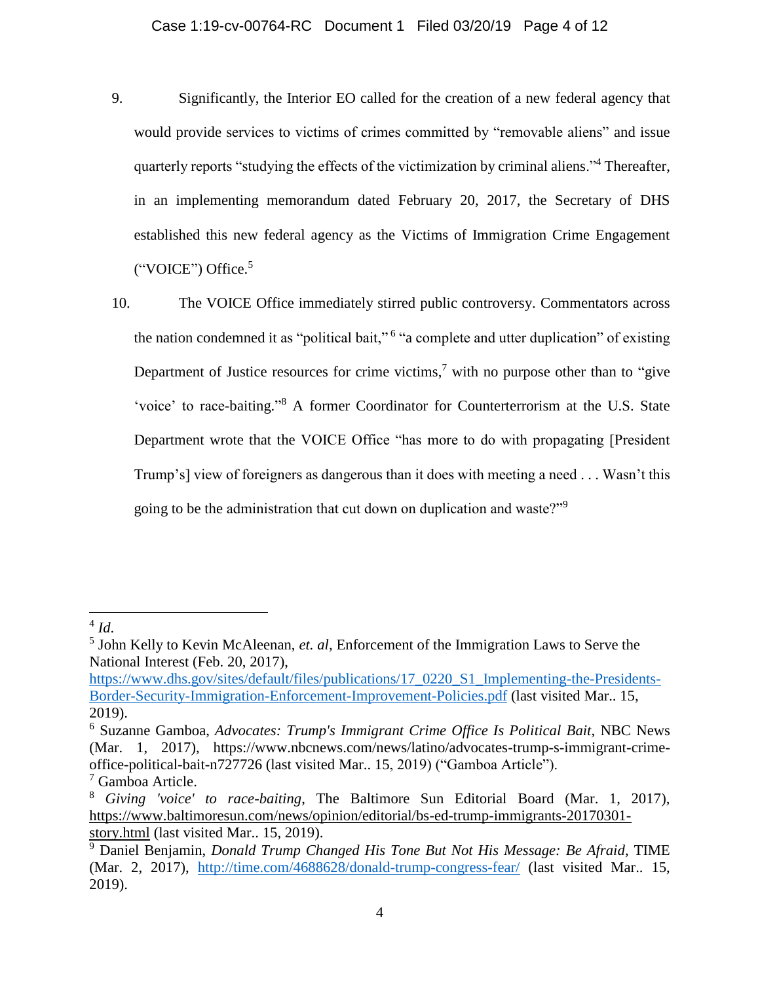- 9. Significantly, the Interior EO called for the creation of a new federal agency that would provide services to victims of crimes committed by "removable aliens" and issue quarterly reports "studying the effects of the victimization by criminal aliens."<sup>4</sup> Thereafter, in an implementing memorandum dated February 20, 2017, the Secretary of DHS established this new federal agency as the Victims of Immigration Crime Engagement ("VOICE") Office.<sup>5</sup>
- 10. The VOICE Office immediately stirred public controversy. Commentators across the nation condemned it as "political bait,"<sup>6</sup> "a complete and utter duplication" of existing Department of Justice resources for crime victims,<sup>7</sup> with no purpose other than to "give 'voice' to race-baiting."<sup>8</sup> A former Coordinator for Counterterrorism at the U.S. State Department wrote that the VOICE Office "has more to do with propagating [President Trump's] view of foreigners as dangerous than it does with meeting a need . . . Wasn't this going to be the administration that cut down on duplication and waste?"<sup>9</sup>

 $\overline{\phantom{a}}$ 

<sup>4</sup> *Id*.

<sup>5</sup> John Kelly to Kevin McAleenan, *et. al,* Enforcement of the Immigration Laws to Serve the National Interest (Feb. 20, 2017),

[https://www.dhs.gov/sites/default/files/publications/17\\_0220\\_S1\\_Implementing-the-Presidents-](https://www.dhs.gov/sites/default/files/publications/17_0220_S1_Implementing-the-Presidents-Border-Security-Immigration-Enforcement-Improvement-Policies.pdf)[Border-Security-Immigration-Enforcement-Improvement-Policies.pdf](https://www.dhs.gov/sites/default/files/publications/17_0220_S1_Implementing-the-Presidents-Border-Security-Immigration-Enforcement-Improvement-Policies.pdf) (last visited Mar.. 15, 2019).

<sup>6</sup> Suzanne Gamboa, *Advocates: Trump's Immigrant Crime Office Is Political Bait*, NBC News (Mar. 1, 2017), https://www.nbcnews.com/news/latino/advocates-trump-s-immigrant-crimeoffice-political-bait-n727726 (last visited Mar.. 15, 2019) ("Gamboa Article"). <sup>7</sup> Gamboa Article.

<sup>8</sup> *Giving 'voice' to race-baiting*, The Baltimore Sun Editorial Board (Mar. 1, 2017), [https://www.baltimoresun.com/news/opinion/editorial/bs-ed-trump-immigrants-20170301](https://www.baltimoresun.com/news/opinion/editorial/bs-ed-trump-immigrants-20170301-story.html) [story.html](https://www.baltimoresun.com/news/opinion/editorial/bs-ed-trump-immigrants-20170301-story.html) (last visited Mar.. 15, 2019).

<sup>9</sup> Daniel Benjamin, *Donald Trump Changed His Tone But Not His Message: Be Afraid*, TIME (Mar. 2, 2017), <http://time.com/4688628/donald-trump-congress-fear/> (last visited Mar.. 15, 2019).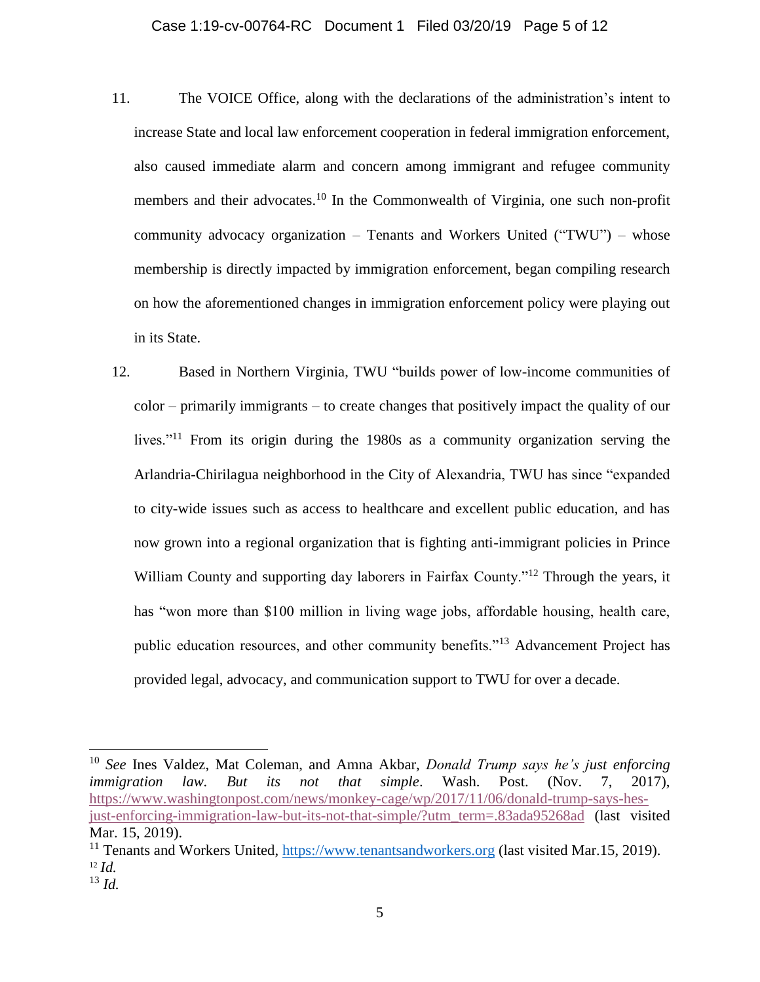- 11. The VOICE Office, along with the declarations of the administration's intent to increase State and local law enforcement cooperation in federal immigration enforcement, also caused immediate alarm and concern among immigrant and refugee community members and their advocates.<sup>10</sup> In the Commonwealth of Virginia, one such non-profit community advocacy organization – Tenants and Workers United ("TWU") – whose membership is directly impacted by immigration enforcement, began compiling research on how the aforementioned changes in immigration enforcement policy were playing out in its State.
- 12. Based in Northern Virginia, TWU "builds power of low-income communities of color – primarily immigrants – to create changes that positively impact the quality of our lives."<sup>11</sup> From its origin during the 1980s as a community organization serving the Arlandria-Chirilagua neighborhood in the City of Alexandria, TWU has since "expanded to city-wide issues such as access to healthcare and excellent public education, and has now grown into a regional organization that is fighting anti-immigrant policies in Prince William County and supporting day laborers in Fairfax County."<sup>12</sup> Through the years, it has "won more than \$100 million in living wage jobs, affordable housing, health care, public education resources, and other community benefits."<sup>13</sup> Advancement Project has provided legal, advocacy, and communication support to TWU for over a decade.

 $\overline{a}$ 

<sup>10</sup> *See* Ines Valdez, Mat Coleman, and Amna Akbar, *Donald Trump says he's just enforcing immigration law. But its not that simple*. Wash. Post. (Nov. 7, 2017), [https://www.washingtonpost.com/news/monkey-cage/wp/2017/11/06/donald-trump-says-hes](https://www.washingtonpost.com/news/monkey-cage/wp/2017/11/06/donald-trump-says-hes-just-enforcing-immigration-law-but-its-not-that-simple/?utm_term=.83ada95268ad)[just-enforcing-immigration-law-but-its-not-that-simple/?utm\\_term=.83ada95268ad](https://www.washingtonpost.com/news/monkey-cage/wp/2017/11/06/donald-trump-says-hes-just-enforcing-immigration-law-but-its-not-that-simple/?utm_term=.83ada95268ad) (last visited Mar. 15, 2019).

 $11$  Tenants and Workers United, [https://www.tenantsandworkers.org](https://www.tenantsandworkers.org/) (last visited Mar.15, 2019). <sup>12</sup> *Id.*

<sup>13</sup> *Id.*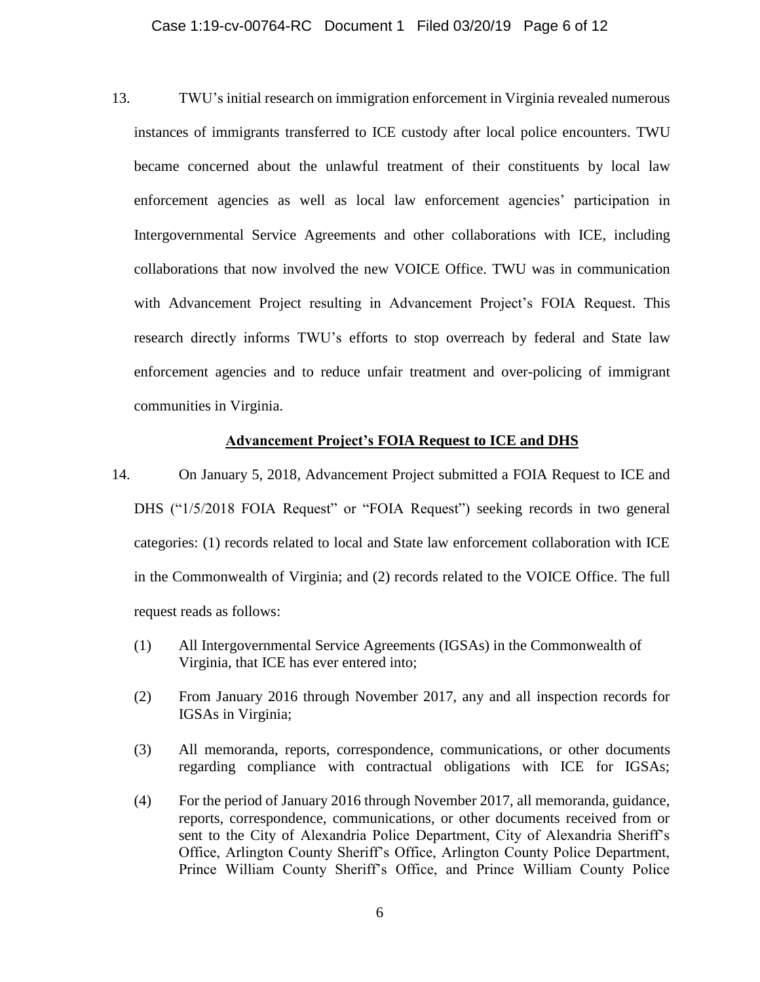13. TWU's initial research on immigration enforcement in Virginia revealed numerous instances of immigrants transferred to ICE custody after local police encounters. TWU became concerned about the unlawful treatment of their constituents by local law enforcement agencies as well as local law enforcement agencies' participation in Intergovernmental Service Agreements and other collaborations with ICE, including collaborations that now involved the new VOICE Office. TWU was in communication with Advancement Project resulting in Advancement Project's FOIA Request. This research directly informs TWU's efforts to stop overreach by federal and State law enforcement agencies and to reduce unfair treatment and over-policing of immigrant communities in Virginia.

#### **Advancement Project's FOIA Request to ICE and DHS**

- 14. On January 5, 2018, Advancement Project submitted a FOIA Request to ICE and DHS ("1/5/2018 FOIA Request" or "FOIA Request") seeking records in two general categories: (1) records related to local and State law enforcement collaboration with ICE in the Commonwealth of Virginia; and (2) records related to the VOICE Office. The full request reads as follows:
	- (1) All Intergovernmental Service Agreements (IGSAs) in the Commonwealth of Virginia, that ICE has ever entered into;
	- (2) From January 2016 through November 2017, any and all inspection records for IGSAs in Virginia;
	- (3) All memoranda, reports, correspondence, communications, or other documents regarding compliance with contractual obligations with ICE for IGSAs;
	- (4) For the period of January 2016 through November 2017, all memoranda, guidance, reports, correspondence, communications, or other documents received from or sent to the City of Alexandria Police Department, City of Alexandria Sheriff's Office, Arlington County Sheriff's Office, Arlington County Police Department, Prince William County Sheriff's Office, and Prince William County Police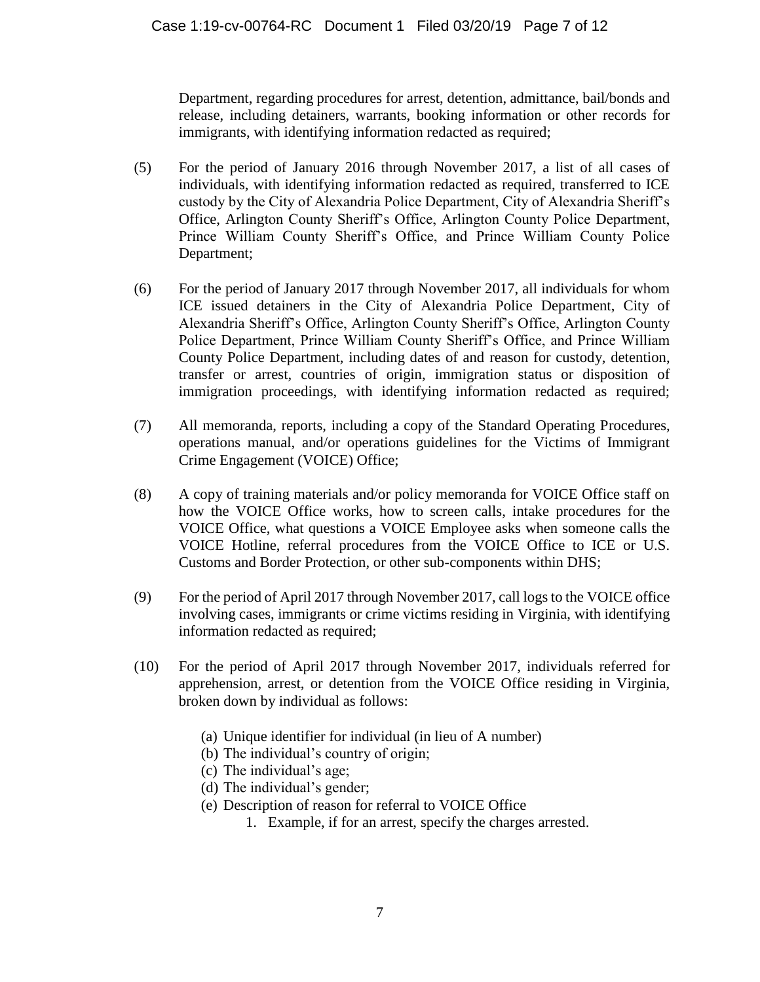Department, regarding procedures for arrest, detention, admittance, bail/bonds and release, including detainers, warrants, booking information or other records for immigrants, with identifying information redacted as required;

- (5) For the period of January 2016 through November 2017, a list of all cases of individuals, with identifying information redacted as required, transferred to ICE custody by the City of Alexandria Police Department, City of Alexandria Sheriff's Office, Arlington County Sheriff's Office, Arlington County Police Department, Prince William County Sheriff's Office, and Prince William County Police Department;
- (6) For the period of January 2017 through November 2017, all individuals for whom ICE issued detainers in the City of Alexandria Police Department, City of Alexandria Sheriff's Office, Arlington County Sheriff's Office, Arlington County Police Department, Prince William County Sheriff's Office, and Prince William County Police Department, including dates of and reason for custody, detention, transfer or arrest, countries of origin, immigration status or disposition of immigration proceedings, with identifying information redacted as required;
- (7) All memoranda, reports, including a copy of the Standard Operating Procedures, operations manual, and/or operations guidelines for the Victims of Immigrant Crime Engagement (VOICE) Office;
- (8) A copy of training materials and/or policy memoranda for VOICE Office staff on how the VOICE Office works, how to screen calls, intake procedures for the VOICE Office, what questions a VOICE Employee asks when someone calls the VOICE Hotline, referral procedures from the VOICE Office to ICE or U.S. Customs and Border Protection, or other sub-components within DHS;
- (9) For the period of April 2017 through November 2017, call logs to the VOICE office involving cases, immigrants or crime victims residing in Virginia, with identifying information redacted as required;
- (10) For the period of April 2017 through November 2017, individuals referred for apprehension, arrest, or detention from the VOICE Office residing in Virginia, broken down by individual as follows:
	- (a) Unique identifier for individual (in lieu of A number)
	- (b) The individual's country of origin;
	- (c) The individual's age;
	- (d) The individual's gender;
	- (e) Description of reason for referral to VOICE Office
		- 1. Example, if for an arrest, specify the charges arrested.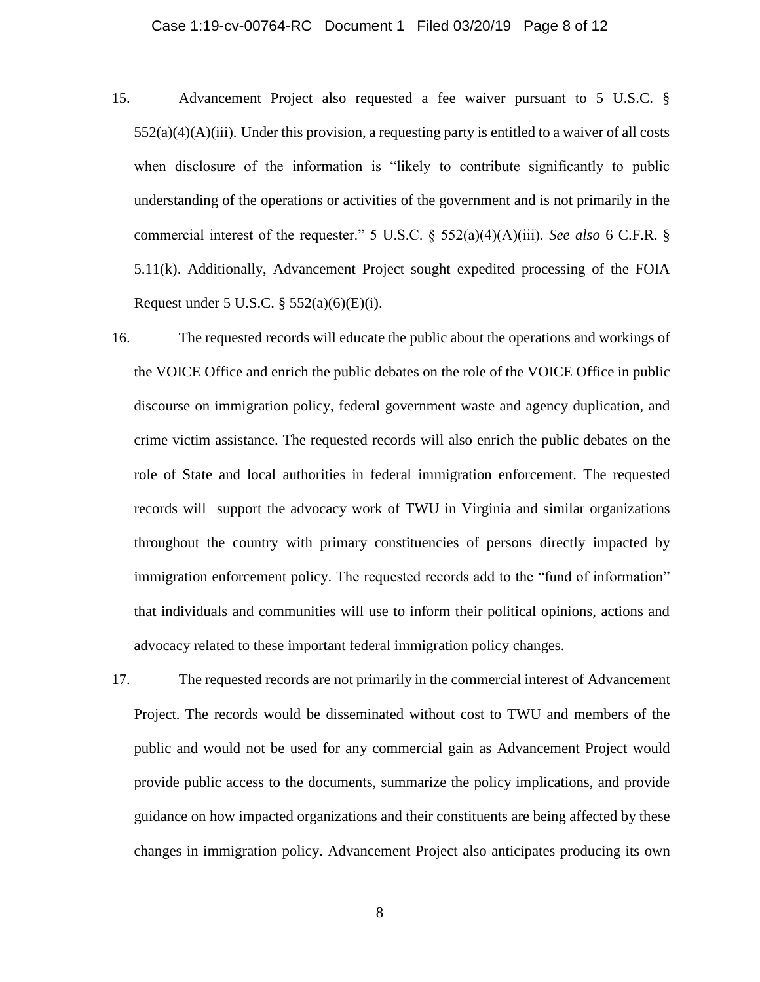- 15. Advancement Project also requested a fee waiver pursuant to 5 U.S.C. §  $552(a)(4)(A)(iii)$ . Under this provision, a requesting party is entitled to a waiver of all costs when disclosure of the information is "likely to contribute significantly to public understanding of the operations or activities of the government and is not primarily in the commercial interest of the requester." 5 U.S.C. § 552(a)(4)(A)(iii). *See also* 6 C.F.R. § 5.11(k). Additionally, Advancement Project sought expedited processing of the FOIA Request under 5 U.S.C.  $\S$  552(a)(6)(E)(i).
- 16. The requested records will educate the public about the operations and workings of the VOICE Office and enrich the public debates on the role of the VOICE Office in public discourse on immigration policy, federal government waste and agency duplication, and crime victim assistance. The requested records will also enrich the public debates on the role of State and local authorities in federal immigration enforcement. The requested records will support the advocacy work of TWU in Virginia and similar organizations throughout the country with primary constituencies of persons directly impacted by immigration enforcement policy. The requested records add to the "fund of information" that individuals and communities will use to inform their political opinions, actions and advocacy related to these important federal immigration policy changes.
- 17. The requested records are not primarily in the commercial interest of Advancement Project. The records would be disseminated without cost to TWU and members of the public and would not be used for any commercial gain as Advancement Project would provide public access to the documents, summarize the policy implications, and provide guidance on how impacted organizations and their constituents are being affected by these changes in immigration policy. Advancement Project also anticipates producing its own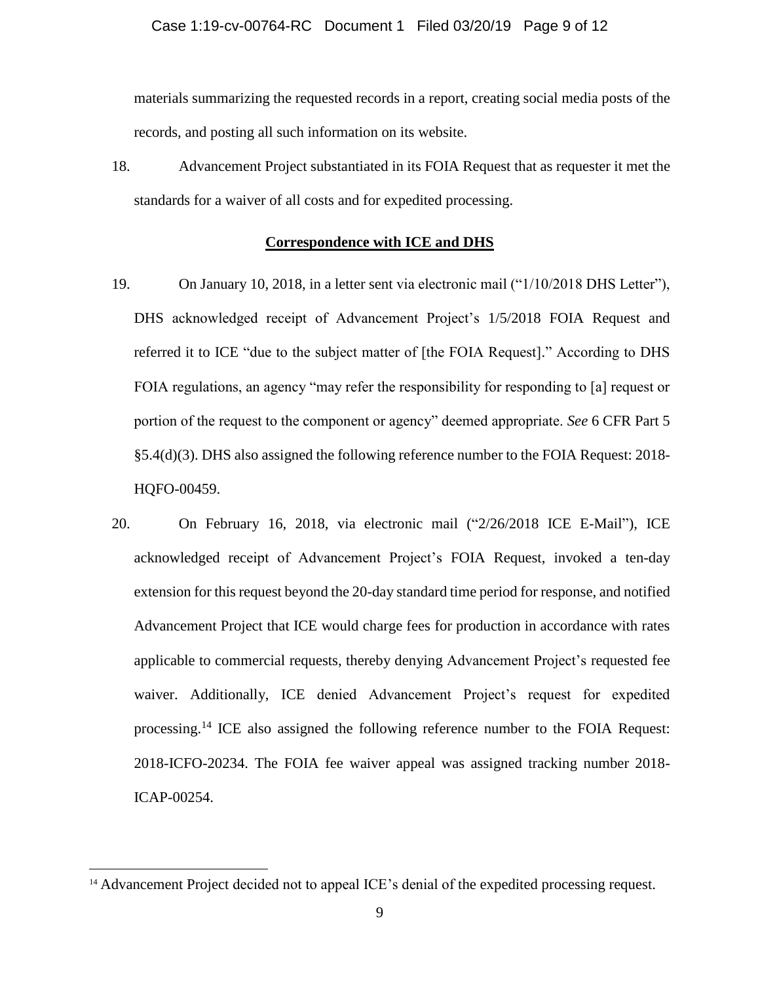materials summarizing the requested records in a report, creating social media posts of the records, and posting all such information on its website.

18. Advancement Project substantiated in its FOIA Request that as requester it met the standards for a waiver of all costs and for expedited processing.

#### **Correspondence with ICE and DHS**

- 19. On January 10, 2018, in a letter sent via electronic mail ("1/10/2018 DHS Letter"), DHS acknowledged receipt of Advancement Project's 1/5/2018 FOIA Request and referred it to ICE "due to the subject matter of [the FOIA Request]." According to DHS FOIA regulations, an agency "may refer the responsibility for responding to [a] request or portion of the request to the component or agency" deemed appropriate. *See* 6 CFR Part 5 §5.4(d)(3). DHS also assigned the following reference number to the FOIA Request: 2018- HQFO-00459.
- 20. On February 16, 2018, via electronic mail ("2/26/2018 ICE E-Mail"), ICE acknowledged receipt of Advancement Project's FOIA Request, invoked a ten-day extension for this request beyond the 20-day standard time period for response, and notified Advancement Project that ICE would charge fees for production in accordance with rates applicable to commercial requests, thereby denying Advancement Project's requested fee waiver. Additionally, ICE denied Advancement Project's request for expedited processing.<sup>14</sup> ICE also assigned the following reference number to the FOIA Request: 2018-ICFO-20234. The FOIA fee waiver appeal was assigned tracking number 2018- ICAP-00254.

 $\overline{\phantom{a}}$ 

<sup>&</sup>lt;sup>14</sup> Advancement Project decided not to appeal ICE's denial of the expedited processing request.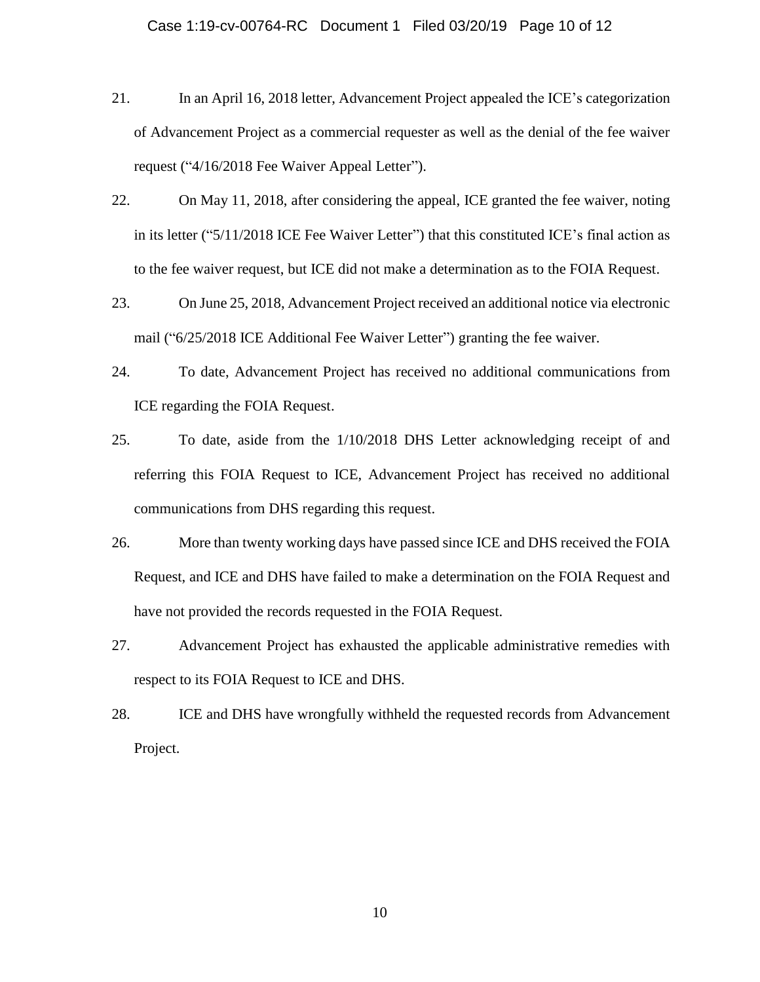- 21. In an April 16, 2018 letter, Advancement Project appealed the ICE's categorization of Advancement Project as a commercial requester as well as the denial of the fee waiver request ("4/16/2018 Fee Waiver Appeal Letter").
- 22. On May 11, 2018, after considering the appeal, ICE granted the fee waiver, noting in its letter ("5/11/2018 ICE Fee Waiver Letter") that this constituted ICE's final action as to the fee waiver request, but ICE did not make a determination as to the FOIA Request.
- 23. On June 25, 2018, Advancement Project received an additional notice via electronic mail ("6/25/2018 ICE Additional Fee Waiver Letter") granting the fee waiver.
- 24. To date, Advancement Project has received no additional communications from ICE regarding the FOIA Request.
- 25. To date, aside from the 1/10/2018 DHS Letter acknowledging receipt of and referring this FOIA Request to ICE, Advancement Project has received no additional communications from DHS regarding this request.
- 26. More than twenty working days have passed since ICE and DHS received the FOIA Request, and ICE and DHS have failed to make a determination on the FOIA Request and have not provided the records requested in the FOIA Request.
- 27. Advancement Project has exhausted the applicable administrative remedies with respect to its FOIA Request to ICE and DHS.
- 28. ICE and DHS have wrongfully withheld the requested records from Advancement Project.

10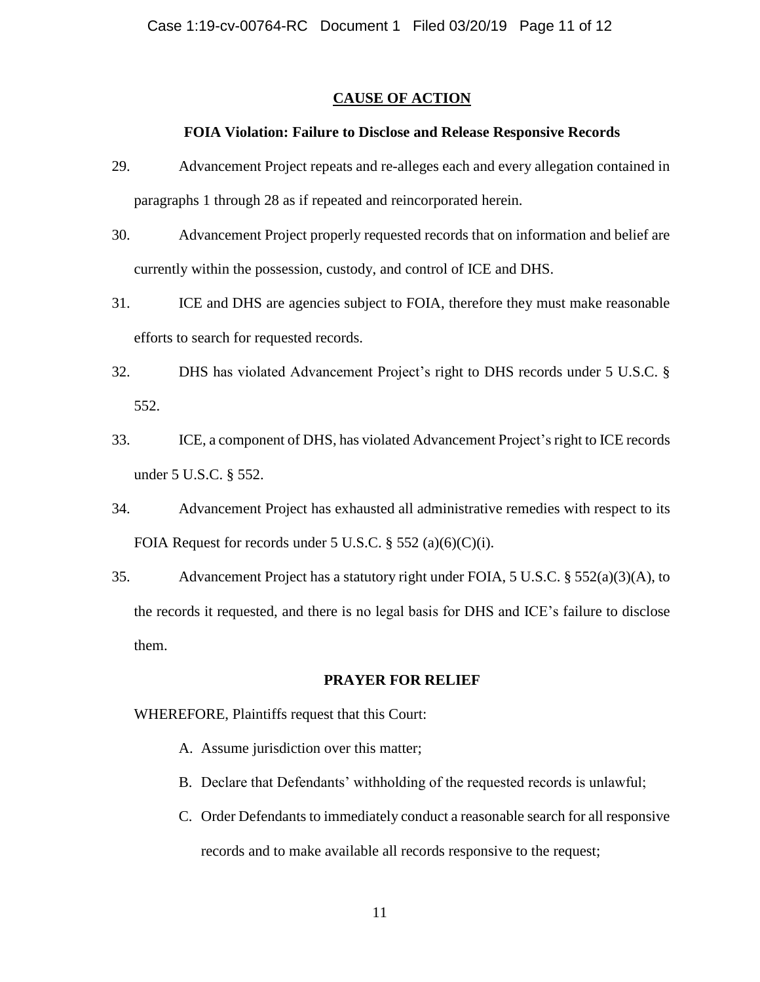### **CAUSE OF ACTION**

### **FOIA Violation: Failure to Disclose and Release Responsive Records**

- 29. Advancement Project repeats and re-alleges each and every allegation contained in paragraphs 1 through 28 as if repeated and reincorporated herein.
- 30. Advancement Project properly requested records that on information and belief are currently within the possession, custody, and control of ICE and DHS.
- 31. ICE and DHS are agencies subject to FOIA, therefore they must make reasonable efforts to search for requested records.
- 32. DHS has violated Advancement Project's right to DHS records under 5 U.S.C. § 552.
- 33. ICE, a component of DHS, has violated Advancement Project's right to ICE records under 5 U.S.C. § 552.
- 34. Advancement Project has exhausted all administrative remedies with respect to its FOIA Request for records under 5 U.S.C.  $\S$  552 (a)(6)(C)(i).
- 35. Advancement Project has a statutory right under FOIA, 5 U.S.C. § 552(a)(3)(A), to the records it requested, and there is no legal basis for DHS and ICE's failure to disclose them.

#### **PRAYER FOR RELIEF**

WHEREFORE, Plaintiffs request that this Court:

- A. Assume jurisdiction over this matter;
- B. Declare that Defendants' withholding of the requested records is unlawful;
- C. Order Defendants to immediately conduct a reasonable search for all responsive records and to make available all records responsive to the request;